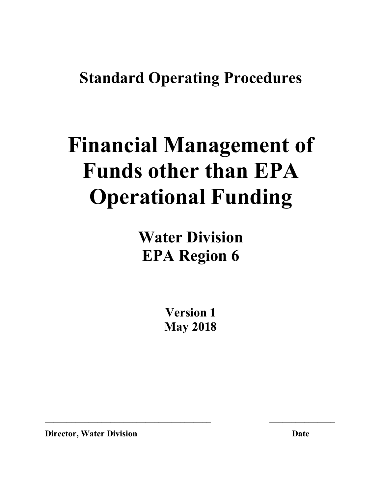## **Standard Operating Procedures**

# **Financial Management of Funds other than EPA Operational Funding**

**Water Division EPA Region 6**

> **Version 1 May 2018**

**\_\_\_\_\_\_\_\_\_\_\_\_\_\_\_\_\_\_\_\_\_\_\_\_\_\_\_\_\_\_\_\_\_\_\_\_\_\_ \_\_\_\_\_\_\_\_\_\_\_\_\_\_\_**

**Director, Water Division Date**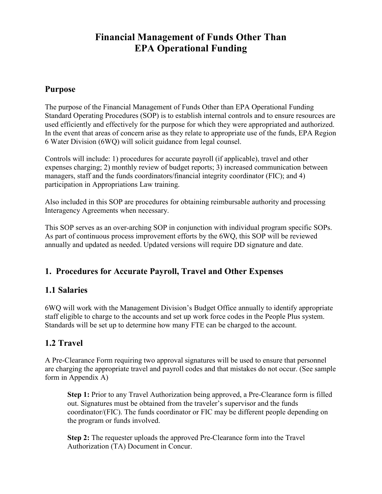#### **Financial Management of Funds Other Than EPA Operational Funding**

#### **Purpose**

The purpose of the Financial Management of Funds Other than EPA Operational Funding Standard Operating Procedures (SOP) is to establish internal controls and to ensure resources are used efficiently and effectively for the purpose for which they were appropriated and authorized. In the event that areas of concern arise as they relate to appropriate use of the funds, EPA Region 6 Water Division (6WQ) will solicit guidance from legal counsel.

Controls will include: 1) procedures for accurate payroll (if applicable), travel and other expenses charging; 2) monthly review of budget reports; 3) increased communication between managers, staff and the funds coordinators/financial integrity coordinator (FIC); and 4) participation in Appropriations Law training.

Also included in this SOP are procedures for obtaining reimbursable authority and processing Interagency Agreements when necessary.

This SOP serves as an over-arching SOP in conjunction with individual program specific SOPs. As part of continuous process improvement efforts by the 6WQ, this SOP will be reviewed annually and updated as needed. Updated versions will require DD signature and date.

#### **1. Procedures for Accurate Payroll, Travel and Other Expenses**

#### **1.1 Salaries**

6WQ will work with the Management Division's Budget Office annually to identify appropriate staff eligible to charge to the accounts and set up work force codes in the People Plus system. Standards will be set up to determine how many FTE can be charged to the account.

#### **1.2 Travel**

A Pre-Clearance Form requiring two approval signatures will be used to ensure that personnel are charging the appropriate travel and payroll codes and that mistakes do not occur. (See sample form in Appendix A)

**Step 1:** Prior to any Travel Authorization being approved, a Pre-Clearance form is filled out. Signatures must be obtained from the traveler's supervisor and the funds coordinator/(FIC). The funds coordinator or FIC may be different people depending on the program or funds involved.

**Step 2:** The requester uploads the approved Pre-Clearance form into the Travel Authorization (TA) Document in Concur.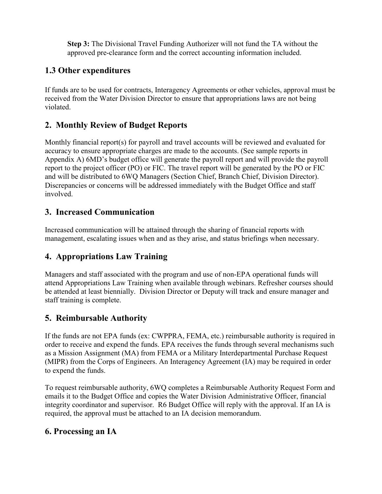**Step 3:** The Divisional Travel Funding Authorizer will not fund the TA without the approved pre-clearance form and the correct accounting information included.

#### **1.3 Other expenditures**

If funds are to be used for contracts, Interagency Agreements or other vehicles, approval must be received from the Water Division Director to ensure that appropriations laws are not being violated.

#### **2. Monthly Review of Budget Reports**

Monthly financial report(s) for payroll and travel accounts will be reviewed and evaluated for accuracy to ensure appropriate charges are made to the accounts. (See sample reports in Appendix A) 6MD's budget office will generate the payroll report and will provide the payroll report to the project officer (PO) or FIC. The travel report will be generated by the PO or FIC and will be distributed to 6WQ Managers (Section Chief, Branch Chief, Division Director). Discrepancies or concerns will be addressed immediately with the Budget Office and staff involved.

#### **3. Increased Communication**

Increased communication will be attained through the sharing of financial reports with management, escalating issues when and as they arise, and status briefings when necessary.

#### **4. Appropriations Law Training**

Managers and staff associated with the program and use of non-EPA operational funds will attend Appropriations Law Training when available through webinars. Refresher courses should be attended at least biennially. Division Director or Deputy will track and ensure manager and staff training is complete.

#### **5. Reimbursable Authority**

If the funds are not EPA funds (ex: CWPPRA, FEMA, etc.) reimbursable authority is required in order to receive and expend the funds. EPA receives the funds through several mechanisms such as a Mission Assignment (MA) from FEMA or a Military Interdepartmental Purchase Request (MIPR) from the Corps of Engineers. An Interagency Agreement (IA) may be required in order to expend the funds.

To request reimbursable authority, 6WQ completes a Reimbursable Authority Request Form and emails it to the Budget Office and copies the Water Division Administrative Officer, financial integrity coordinator and supervisor. R6 Budget Office will reply with the approval. If an IA is required, the approval must be attached to an IA decision memorandum.

#### **6. Processing an IA**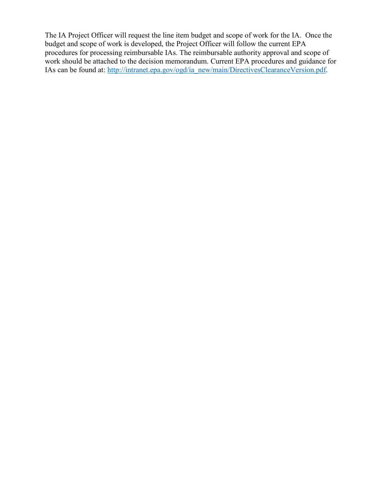The IA Project Officer will request the line item budget and scope of work for the IA. Once the budget and scope of work is developed, the Project Officer will follow the current EPA procedures for processing reimbursable IAs. The reimbursable authority approval and scope of work should be attached to the decision memorandum. Current EPA procedures and guidance for IAs can be found at: [http://intranet.epa.gov/ogd/ia\\_new/main/DirectivesClearanceVersion.pdf.](http://intranet.epa.gov/ogd/ia_new/main/DirectivesClearanceVersion.pdf)